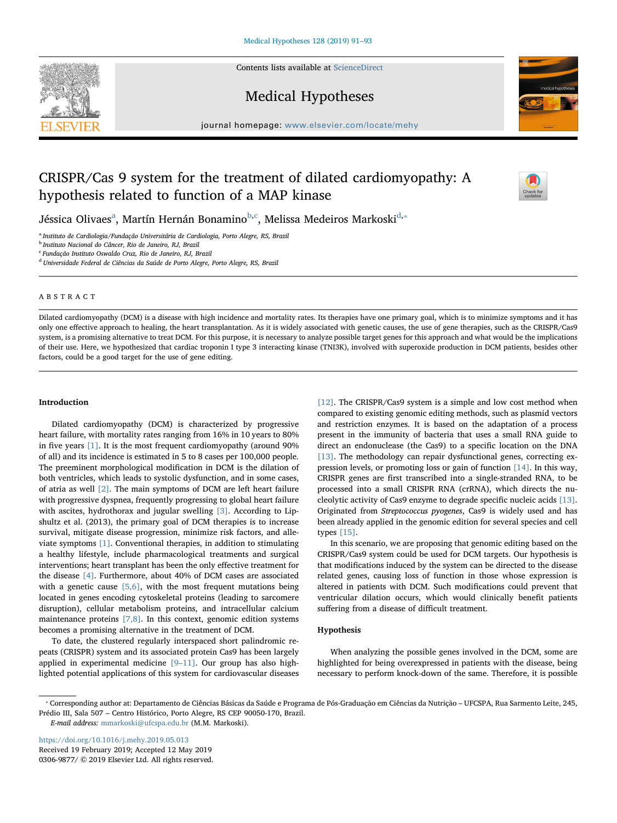Contents lists available at [ScienceDirect](http://www.sciencedirect.com/science/journal/03069877)







journal homepage: [www.elsevier.com/locate/mehy](https://www.elsevier.com/locate/mehy)/ $\frac{1}{\sqrt{N}}$ 

# CRISPR/Cas 9 system for the treatment of dilated cardiomyopathy: A hypothesis related to function of a MAP kinase



Jéssic[a](#page-0-0) Olivaes $^{\rm a}$ , Martín Hernán Bonamino $^{\rm b,c}$  $^{\rm b,c}$  $^{\rm b,c}$  $^{\rm b,c}$ , Melissa Medeiros Markoski $^{\rm d,*}$  $^{\rm d,*}$  $^{\rm d,*}$ 

<span id="page-0-0"></span><sup>a</sup> Instituto de Cardiologia/Fundação Universitária de Cardiologia, Porto Alegre, RS, Brazil

<span id="page-0-1"></span><sup>b</sup> Instituto Nacional do Câncer, Rio de Janeiro, RJ, Brazil

<span id="page-0-2"></span><sup>c</sup> Fundação Instituto Oswaldo Cruz, Rio de Janeiro, RJ, Brazil

<span id="page-0-3"></span><sup>d</sup> Universidade Federal de Ciências da Saúde de Porto Alegre, Porto Alegre, RS, Brazil

# ABSTRACT

Dilated cardiomyopathy (DCM) is a disease with high incidence and mortality rates. Its therapies have one primary goal, which is to minimize symptoms and it has only one effective approach to healing, the heart transplantation. As it is widely associated with genetic causes, the use of gene therapies, such as the CRISPR/Cas9 system, is a promising alternative to treat DCM. For this purpose, it is necessary to analyze possible target genes for this approach and what would be the implications of their use. Here, we hypothesized that cardiac troponin I type 3 interacting kinase (TNI3K), involved with superoxide production in DCM patients, besides other factors, could be a good target for the use of gene editing.

## Introduction

Dilated cardiomyopathy (DCM) is characterized by progressive heart failure, with mortality rates ranging from 16% in 10 years to 80% in five years [\[1\]](#page-2-0). It is the most frequent cardiomyopathy (around 90% of all) and its incidence is estimated in 5 to 8 cases per 100,000 people. The preeminent morphological modification in DCM is the dilation of both ventricles, which leads to systolic dysfunction, and in some cases, of atria as well [\[2\].](#page-2-1) The main symptoms of DCM are left heart failure with progressive dyspnea, frequently progressing to global heart failure with ascites, hydrothorax and jugular swelling [\[3\]](#page-2-2). According to Lipshultz et al. (2013), the primary goal of DCM therapies is to increase survival, mitigate disease progression, minimize risk factors, and alleviate symptoms [\[1\].](#page-2-0) Conventional therapies, in addition to stimulating a healthy lifestyle, include pharmacological treatments and surgical interventions; heart transplant has been the only effective treatment for the disease [\[4\].](#page-2-3) Furthermore, about 40% of DCM cases are associated with a genetic cause  $[5,6]$ , with the most frequent mutations being located in genes encoding cytoskeletal proteins (leading to sarcomere disruption), cellular metabolism proteins, and intracellular calcium maintenance proteins  $[7,8]$ . In this context, genomic edition systems becomes a promising alternative in the treatment of DCM.

To date, the clustered regularly interspaced short palindromic repeats (CRISPR) system and its associated protein Cas9 has been largely applied in experimental medicine [9–[11\].](#page-2-6) Our group has also highlighted potential applications of this system for cardiovascular diseases

[\[12\]](#page-2-7). The CRISPR/Cas9 system is a simple and low cost method when compared to existing genomic editing methods, such as plasmid vectors and restriction enzymes. It is based on the adaptation of a process present in the immunity of bacteria that uses a small RNA guide to direct an endonuclease (the Cas9) to a specific location on the DNA [\[13\]](#page-2-8). The methodology can repair dysfunctional genes, correcting expression levels, or promoting loss or gain of function [\[14\]](#page-2-9). In this way, CRISPR genes are first transcribed into a single-stranded RNA, to be processed into a small CRISPR RNA (crRNA), which directs the nucleolytic activity of Cas9 enzyme to degrade specific nucleic acids [\[13\]](#page-2-8). Originated from Streptococcus pyogenes, Cas9 is widely used and has been already applied in the genomic edition for several species and cell types [\[15\]](#page-2-10).

In this scenario, we are proposing that genomic editing based on the CRISPR/Cas9 system could be used for DCM targets. Our hypothesis is that modifications induced by the system can be directed to the disease related genes, causing loss of function in those whose expression is altered in patients with DCM. Such modifications could prevent that ventricular dilation occurs, which would clinically benefit patients suffering from a disease of difficult treatment.

# Hypothesis

When analyzing the possible genes involved in the DCM, some are highlighted for being overexpressed in patients with the disease, being necessary to perform knock-down of the same. Therefore, it is possible

<https://doi.org/10.1016/j.mehy.2019.05.013> Received 19 February 2019; Accepted 12 May 2019 0306-9877/ © 2019 Elsevier Ltd. All rights reserved.

<span id="page-0-4"></span><sup>⁎</sup> Corresponding author at: Departamento de Ciências Básicas da Saúde e Programa de Pós-Graduação em Ciências da Nutrição – UFCSPA, Rua Sarmento Leite, 245, Prédio III, Sala 507 – Centro Histórico, Porto Alegre, RS CEP 90050-170, Brazil.

E-mail address: [mmarkoski@ufcspa.edu.br](mailto:mmarkoski@ufcspa.edu.br) (M.M. Markoski).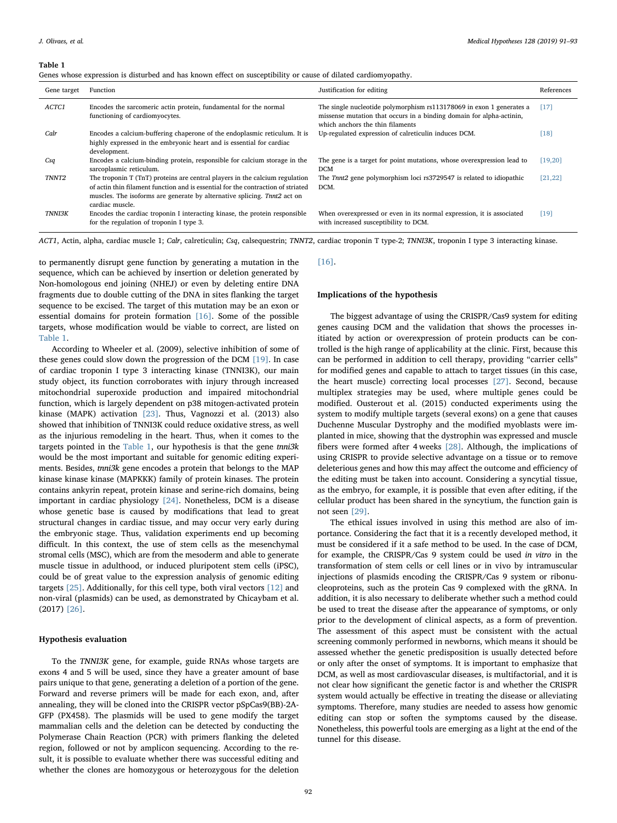### <span id="page-1-0"></span>Table 1

|  |  |  |  |  | Genes whose expression is disturbed and has known effect on susceptibility or cause of dilated cardiomyopathy. |  |  |  |
|--|--|--|--|--|----------------------------------------------------------------------------------------------------------------|--|--|--|
|  |  |  |  |  |                                                                                                                |  |  |  |

| Gene target   | Function                                                                                                                                                                                                                                                       | Justification for editing                                                                                                                                                        | References |
|---------------|----------------------------------------------------------------------------------------------------------------------------------------------------------------------------------------------------------------------------------------------------------------|----------------------------------------------------------------------------------------------------------------------------------------------------------------------------------|------------|
| ACTC1         | Encodes the sarcomeric actin protein, fundamental for the normal<br>functioning of cardiomyocytes.                                                                                                                                                             | The single nucleotide polymorphism rs113178069 in exon 1 generates a<br>missense mutation that occurs in a binding domain for alpha-actinin,<br>which anchors the thin filaments | [17]       |
| Calr          | Encodes a calcium-buffering chaperone of the endoplasmic reticulum. It is<br>highly expressed in the embryonic heart and is essential for cardiac<br>development.                                                                                              | Up-regulated expression of calreticulin induces DCM.                                                                                                                             | [18]       |
| Csq           | Encodes a calcium-binding protein, responsible for calcium storage in the<br>sarcoplasmic reticulum.                                                                                                                                                           | The gene is a target for point mutations, whose overexpression lead to<br><b>DCM</b>                                                                                             | [19, 20]   |
| <b>TNNT2</b>  | The troponin T (TnT) proteins are central players in the calcium regulation<br>of actin thin filament function and is essential for the contraction of striated<br>muscles. The isoforms are generate by alternative splicing. That2 act on<br>cardiac muscle. | The Tnnt2 gene polymorphism loci rs3729547 is related to idiopathic<br>DCM.                                                                                                      | [21, 22]   |
| <b>TNNI3K</b> | Encodes the cardiac troponin I interacting kinase, the protein responsible<br>for the regulation of troponin I type 3.                                                                                                                                         | When overexpressed or even in its normal expression, it is associated<br>with increased susceptibility to DCM.                                                                   | [19]       |

ACT1, Actin, alpha, cardiac muscle 1; Calr, calreticulin; Csq, calsequestrin; TNNT2, cardiac troponin T type-2; TNNI3K, troponin I type 3 interacting kinase.

to permanently disrupt gene function by generating a mutation in the sequence, which can be achieved by insertion or deletion generated by Non-homologous end joining (NHEJ) or even by deleting entire DNA fragments due to double cutting of the DNA in sites flanking the target sequence to be excised. The target of this mutation may be an exon or essential domains for protein formation [\[16\]](#page-2-11). Some of the possible targets, whose modification would be viable to correct, are listed on [Table 1](#page-1-0).

According to Wheeler et al. (2009), selective inhibition of some of these genes could slow down the progression of the DCM [\[19\]](#page-2-12). In case of cardiac troponin I type 3 interacting kinase (TNNI3K), our main study object, its function corroborates with injury through increased mitochondrial superoxide production and impaired mitochondrial function, which is largely dependent on p38 mitogen-activated protein kinase (MAPK) activation [\[23\]](#page-2-13). Thus, Vagnozzi et al. (2013) also showed that inhibition of TNNI3K could reduce oxidative stress, as well as the injurious remodeling in the heart. Thus, when it comes to the targets pointed in the [Table 1](#page-1-0), our hypothesis is that the gene tnni3k would be the most important and suitable for genomic editing experiments. Besides, tnni3k gene encodes a protein that belongs to the MAP kinase kinase kinase (MAPKKK) family of protein kinases. The protein contains ankyrin repeat, protein kinase and serine-rich domains, being important in cardiac physiology [\[24\].](#page-2-14) Nonetheless, DCM is a disease whose genetic base is caused by modifications that lead to great structural changes in cardiac tissue, and may occur very early during the embryonic stage. Thus, validation experiments end up becoming difficult. In this context, the use of stem cells as the mesenchymal stromal cells (MSC), which are from the mesoderm and able to generate muscle tissue in adulthood, or induced pluripotent stem cells (iPSC), could be of great value to the expression analysis of genomic editing targets [\[25\]](#page-2-15). Additionally, for this cell type, both viral vectors [\[12\]](#page-2-7) and non-viral (plasmids) can be used, as demonstrated by Chicaybam et al. (2017) [\[26\].](#page-2-16)

## Hypothesis evaluation

To the TNNI3K gene, for example, guide RNAs whose targets are exons 4 and 5 will be used, since they have a greater amount of base pairs unique to that gene, generating a deletion of a portion of the gene. Forward and reverse primers will be made for each exon, and, after annealing, they will be cloned into the CRISPR vector pSpCas9(BB)-2A-GFP (PX458). The plasmids will be used to gene modify the target mammalian cells and the deletion can be detected by conducting the Polymerase Chain Reaction (PCR) with primers flanking the deleted region, followed or not by amplicon sequencing. According to the result, it is possible to evaluate whether there was successful editing and whether the clones are homozygous or heterozygous for the deletion

#### [\[16\]](#page-2-11).

## Implications of the hypothesis

The biggest advantage of using the CRISPR/Cas9 system for editing genes causing DCM and the validation that shows the processes initiated by action or overexpression of protein products can be controlled is the high range of applicability at the clinic. First, because this can be performed in addition to cell therapy, providing "carrier cells" for modified genes and capable to attach to target tissues (in this case, the heart muscle) correcting local processes [\[27\]](#page-2-17). Second, because multiplex strategies may be used, where multiple genes could be modified. Ousterout et al. (2015) conducted experiments using the system to modify multiple targets (several exons) on a gene that causes Duchenne Muscular Dystrophy and the modified myoblasts were implanted in mice, showing that the dystrophin was expressed and muscle fibers were formed after 4 weeks [\[28\]](#page-2-18). Although, the implications of using CRISPR to provide selective advantage on a tissue or to remove deleterious genes and how this may affect the outcome and efficiency of the editing must be taken into account. Considering a syncytial tissue, as the embryo, for example, it is possible that even after editing, if the cellular product has been shared in the syncytium, the function gain is not seen [\[29\].](#page-2-19)

The ethical issues involved in using this method are also of importance. Considering the fact that it is a recently developed method, it must be considered if it a safe method to be used. In the case of DCM, for example, the CRISPR/Cas 9 system could be used in vitro in the transformation of stem cells or cell lines or in vivo by intramuscular injections of plasmids encoding the CRISPR/Cas 9 system or ribonucleoproteins, such as the protein Cas 9 complexed with the gRNA. In addition, it is also necessary to deliberate whether such a method could be used to treat the disease after the appearance of symptoms, or only prior to the development of clinical aspects, as a form of prevention. The assessment of this aspect must be consistent with the actual screening commonly performed in newborns, which means it should be assessed whether the genetic predisposition is usually detected before or only after the onset of symptoms. It is important to emphasize that DCM, as well as most cardiovascular diseases, is multifactorial, and it is not clear how significant the genetic factor is and whether the CRISPR system would actually be effective in treating the disease or alleviating symptoms. Therefore, many studies are needed to assess how genomic editing can stop or soften the symptoms caused by the disease. Nonetheless, this powerful tools are emerging as a light at the end of the tunnel for this disease.